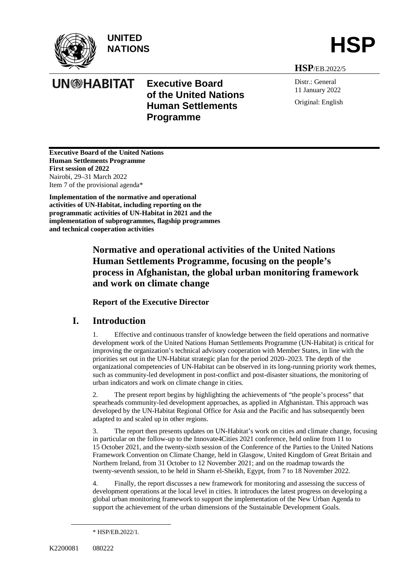

**UN@HABITAT** 

**UNITED**  UNITED<br>NATIONS **HSP** 

**Executive Board** 

**Programme**

**of the United Nations Human Settlements** 

**HSP**/EB.2022/5

Distr.: General 11 January 2022 Original: English

**Executive Board of the United Nations Human Settlements Programme First session of 2022** Nairobi, 29–31 March 2022 Item 7 of the provisional agenda\*

**Implementation of the normative and operational activities of UN-Habitat, including reporting on the programmatic activities of UN-Habitat in 2021 and the implementation of subprogrammes, flagship programmes and technical cooperation activities**

# **Normative and operational activities of the United Nations Human Settlements Programme, focusing on the people's process in Afghanistan, the global urban monitoring framework and work on climate change**

**Report of the Executive Director**

# **I. Introduction**

1. Effective and continuous transfer of knowledge between the field operations and normative development work of the United Nations Human Settlements Programme (UN-Habitat) is critical for improving the organization's technical advisory cooperation with Member States, in line with the priorities set out in the UN-Habitat strategic plan for the period 2020–2023. The depth of the organizational competencies of UN-Habitat can be observed in its long-running priority work themes, such as community-led development in post-conflict and post-disaster situations, the monitoring of urban indicators and work on climate change in cities.

2. The present report begins by highlighting the achievements of "the people's process" that spearheads community-led development approaches, as applied in Afghanistan. This approach was developed by the UN-Habitat Regional Office for Asia and the Pacific and has subsequently been adapted to and scaled up in other regions.

3. The report then presents updates on UN-Habitat's work on cities and climate change, focusing in particular on the follow-up to the Innovate4Cities 2021 conference, held online from 11 to 15 October 2021, and the twenty-sixth session of the Conference of the Parties to the United Nations Framework Convention on Climate Change, held in Glasgow, United Kingdom of Great Britain and Northern Ireland, from 31 October to 12 November 2021; and on the roadmap towards the twenty-seventh session, to be held in Sharm el-Sheikh, Egypt, from 7 to 18 November 2022.

4. Finally, the report discusses a new framework for monitoring and assessing the success of development operations at the local level in cities. It introduces the latest progress on developing a global urban monitoring framework to support the implementation of the New Urban Agenda to support the achievement of the urban dimensions of the Sustainable Development Goals.

<sup>\*</sup> HSP/EB.2022/1.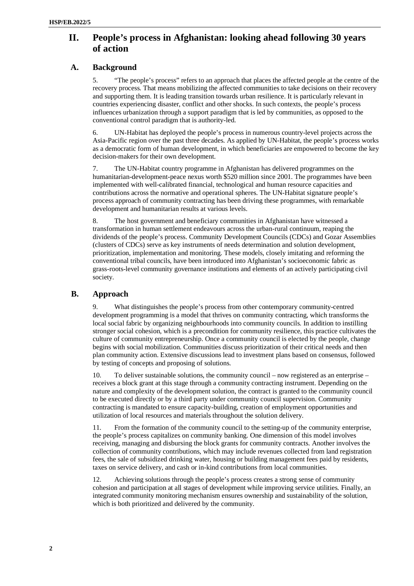# **II. People's process in Afghanistan: looking ahead following 30 years of action**

# **A. Background**

5. "The people's process" refers to an approach that places the affected people at the centre of the recovery process. That means mobilizing the affected communities to take decisions on their recovery and supporting them. It is leading transition towards urban resilience. It is particularly relevant in countries experiencing disaster, conflict and other shocks. In such contexts, the people's process influences urbanization through a support paradigm that is led by communities, as opposed to the conventional control paradigm that is authority-led.

6. UN-Habitat has deployed the people's process in numerous country-level projects across the Asia-Pacific region over the past three decades. As applied by UN-Habitat, the people's process works as a democratic form of human development, in which beneficiaries are empowered to become the key decision-makers for their own development.

7. The UN-Habitat country programme in Afghanistan has delivered programmes on the humanitarian-development-peace nexus worth \$520 million since 2001. The programmes have been implemented with well-calibrated financial, technological and human resource capacities and contributions across the normative and operational spheres. The UN-Habitat signature people's process approach of community contracting has been driving these programmes, with remarkable development and humanitarian results at various levels.

8. The host government and beneficiary communities in Afghanistan have witnessed a transformation in human settlement endeavours across the urban-rural continuum, reaping the dividends of the people's process. Community Development Councils (CDCs) and Gozar Assemblies (clusters of CDCs) serve as key instruments of needs determination and solution development, prioritization, implementation and monitoring. These models, closely imitating and reforming the conventional tribal councils, have been introduced into Afghanistan's socioeconomic fabric as grass-roots-level community governance institutions and elements of an actively participating civil society.

## **B. Approach**

9. What distinguishes the people's process from other contemporary community-centred development programming is a model that thrives on community contracting, which transforms the local social fabric by organizing neighbourhoods into community councils. In addition to instilling stronger social cohesion, which is a precondition for community resilience, this practice cultivates the culture of community entrepreneurship. Once a community council is elected by the people, change begins with social mobilization. Communities discuss prioritization of their critical needs and then plan community action. Extensive discussions lead to investment plans based on consensus, followed by testing of concepts and proposing of solutions.

10. To deliver sustainable solutions, the community council – now registered as an enterprise – receives a block grant at this stage through a community contracting instrument. Depending on the nature and complexity of the development solution, the contract is granted to the community council to be executed directly or by a third party under community council supervision. Community contracting is mandated to ensure capacity-building, creation of employment opportunities and utilization of local resources and materials throughout the solution delivery.

11. From the formation of the community council to the setting-up of the community enterprise, the people's process capitalizes on community banking. One dimension of this model involves receiving, managing and disbursing the block grants for community contracts. Another involves the collection of community contributions, which may include revenues collected from land registration fees, the sale of subsidized drinking water, housing or building management fees paid by residents, taxes on service delivery, and cash or in-kind contributions from local communities.

12. Achieving solutions through the people's process creates a strong sense of community cohesion and participation at all stages of development while improving service utilities. Finally, an integrated community monitoring mechanism ensures ownership and sustainability of the solution, which is both prioritized and delivered by the community.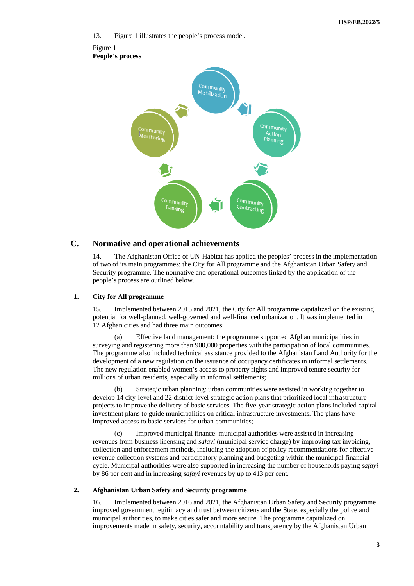

# 13. Figure 1 illustrates the people's process model. Figure 1 **People's process**

#### **C. Normative and operational achievements**

14. The Afghanistan Office of UN-Habitat has applied the peoples' process in the implementation of two of its main programmes: the City for All programme and the Afghanistan Urban Safety and Security programme. The normative and operational outcomes linked by the application of the people's process are outlined below.

#### **1. City for All programme**

15. Implemented between 2015 and 2021, the City for All programme capitalized on the existing potential for well-planned, well-governed and well-financed urbanization. It was implemented in 12 Afghan cities and had three main outcomes:

(a) Effective land management: the programme supported Afghan municipalities in surveying and registering more than 900,000 properties with the participation of local communities. The programme also included technical assistance provided to the Afghanistan Land Authority for the development of a new regulation on the issuance of occupancy certificates in informal settlements. The new regulation enabled women's access to property rights and improved tenure security for millions of urban residents, especially in informal settlements;

(b) Strategic urban planning: urban communities were assisted in working together to develop 14 city-level and 22 district-level strategic action plans that prioritized local infrastructure projects to improve the delivery of basic services. The five-year strategic action plans included capital investment plans to guide municipalities on critical infrastructure investments. The plans have improved access to basic services for urban communities;

(c) Improved municipal finance: municipal authorities were assisted in increasing revenues from business licensing and *safayi* (municipal service charge) by improving tax invoicing, collection and enforcement methods, including the adoption of policy recommendations for effective revenue collection systems and participatory planning and budgeting within the municipal financial cycle. Municipal authorities were also supported in increasing the number of households paying *safayi* by 86 per cent and in increasing *safayi* revenues by up to 413 per cent.

#### **2. Afghanistan Urban Safety and Security programme**

16. Implemented between 2016 and 2021, the Afghanistan Urban Safety and Security programme improved government legitimacy and trust between citizens and the State, especially the police and municipal authorities, to make cities safer and more secure. The programme capitalized on improvements made in safety, security, accountability and transparency by the Afghanistan Urban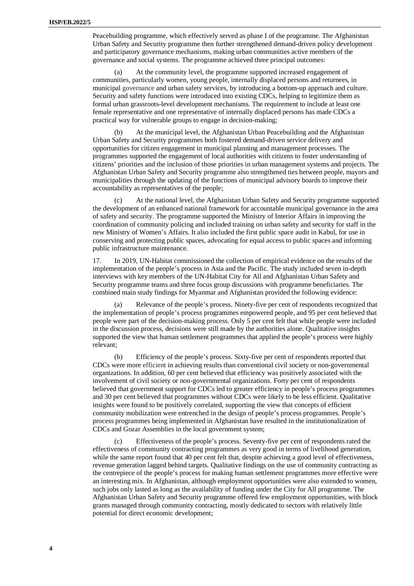Peacebuilding programme, which effectively served as phase I of the programme. The Afghanistan Urban Safety and Security programme then further strengthened demand-driven policy development and participatory governance mechanisms, making urban communities active members of the governance and social systems. The programme achieved three principal outcomes:

(a) At the community level, the programme supported increased engagement of communities, particularly women, young people, internally displaced persons and returnees, in municipal governance and urban safety services, by introducing a bottom-up approach and culture. Security and safety functions were introduced into existing CDCs, helping to legitimize them as formal urban grassroots-level development mechanisms. The requirement to include at least one female representative and one representative of internally displaced persons has made CDCs a practical way for vulnerable groups to engage in decision-making;

At the municipal level, the Afghanistan Urban Peacebuilding and the Afghanistan Urban Safety and Security programmes both fostered demand-driven service delivery and opportunities for citizen engagement in municipal planning and management processes. The programmes supported the engagement of local authorities with citizens to foster understanding of citizens' priorities and the inclusion of those priorities in urban management systems and projects. The Afghanistan Urban Safety and Security programme also strengthened ties between people, mayors and municipalities through the updating of the functions of municipal advisory boards to improve their accountability as representatives of the people;

(c) At the national level, the Afghanistan Urban Safety and Security programme supported the development of an enhanced national framework for accountable municipal governance in the area of safety and security. The programme supported the Ministry of Interior Affairs in improving the coordination of community policing and included training on urban safety and security for staff in the new Ministry of Women's Affairs. It also included the first public space audit in Kabul, for use in conserving and protecting public spaces, advocating for equal access to public spaces and informing public infrastructure maintenance.

17. In 2019, UN-Habitat commissioned the collection of empirical evidence on the results of the implementation of the people's process in Asia and the Pacific. The study included seven in-depth interviews with key members of the UN-Habitat City for All and Afghanistan Urban Safety and Security programme teams and three focus group discussions with programme beneficiaries. The combined main study findings for Myanmar and Afghanistan provided the following evidence:

Relevance of the people's process. Ninety-five per cent of respondents recognized that the implementation of people's process programmes empowered people, and 95 per cent believed that people were part of the decision-making process. Only 5 per cent felt that while people were included in the discussion process, decisions were still made by the authorities alone. Qualitative insights supported the view that human settlement programmes that applied the people's process were highly relevant;

Efficiency of the people's process. Sixty-five per cent of respondents reported that CDCs were more efficient in achieving results than conventional civil society or non-governmental organizations. In addition, 60 per cent believed that efficiency was positively associated with the involvement of civil society or non-governmental organizations. Forty per cent of respondents believed that government support for CDCs led to greater efficiency in people's process programmes and 30 per cent believed that programmes without CDCs were likely to be less efficient. Qualitative insights were found to be positively correlated, supporting the view that concepts of efficient community mobilization were entrenched in the design of people's process programmes. People's process programmes being implemented in Afghanistan have resulted in the institutionalization of CDCs and Gozar Assemblies in the local government system;

(c) Effectiveness of the people's process. Seventy-five per cent of respondents rated the effectiveness of community contracting programmes as very good in terms of livelihood generation, while the same report found that 40 per cent felt that, despite achieving a good level of effectiveness, revenue generation lagged behind targets. Qualitative findings on the use of community contracting as the centrepiece of the people's process for making human settlement programmes more effective were an interesting mix. In Afghanistan, although employment opportunities were also extended to women, such jobs only lasted as long as the availability of funding under the City for All programme. The Afghanistan Urban Safety and Security programme offered few employment opportunities, with block grants managed through community contracting, mostly dedicated to sectors with relatively little potential for direct economic development;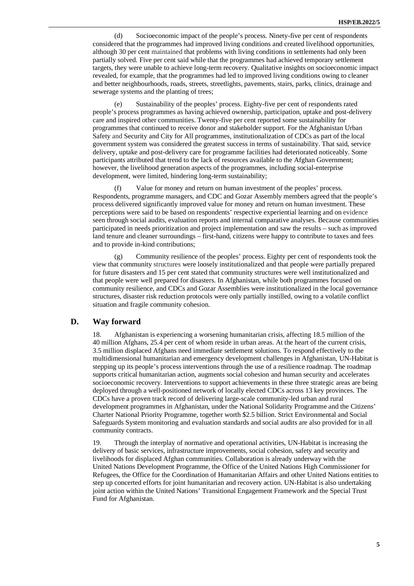(d) Socioeconomic impact of the people's process. Ninety-five per cent of respondents considered that the programmes had improved living conditions and created livelihood opportunities, although 30 per cent maintained that problems with living conditions in settlements had only been partially solved. Five per cent said while that the programmes had achieved temporary settlement targets, they were unable to achieve long-term recovery. Qualitative insights on socioeconomic impact revealed, for example, that the programmes had led to improved living conditions owing to cleaner and better neighbourhoods, roads, streets, streetlights, pavements, stairs, parks, clinics, drainage and sewerage systems and the planting of trees;

(e) Sustainability of the peoples' process. Eighty-five per cent of respondents rated people's process programmes as having achieved ownership, participation, uptake and post-delivery care and inspired other communities. Twenty-five per cent reported some sustainability for programmes that continued to receive donor and stakeholder support. For the Afghanistan Urban Safety and Security and City for All programmes, institutionalization of CDCs as part of the local government system was considered the greatest success in terms of sustainability. That said, service delivery, uptake and post-delivery care for programme facilities had deteriorated noticeably. Some participants attributed that trend to the lack of resources available to the Afghan Government; however, the livelihood generation aspects of the programmes, including social-enterprise development, were limited, hindering long-term sustainability;

(f) Value for money and return on human investment of the peoples' process. Respondents, programme managers, and CDC and Gozar Assembly members agreed that the people's process delivered significantly improved value for money and return on human investment. These perceptions were said to be based on respondents' respective experiential learning and on evidence seen through social audits, evaluation reports and internal comparative analyses. Because communities participated in needs prioritization and project implementation and saw the results – such as improved land tenure and cleaner surroundings – first-hand, citizens were happy to contribute to taxes and fees and to provide in-kind contributions;

(g) Community resilience of the peoples' process. Eighty per cent of respondents took the view that community structures were loosely institutionalized and that people were partially prepared for future disasters and 15 per cent stated that community structures were well institutionalized and that people were well prepared for disasters. In Afghanistan, while both programmes focused on community resilience, and CDCs and Gozar Assemblies were institutionalized in the local governance structures, disaster risk reduction protocols were only partially instilled, owing to a volatile conflict situation and fragile community cohesion.

#### **D. Way forward**

18. Afghanistan is experiencing a worsening humanitarian crisis, affecting 18.5 million of the 40 million Afghans, 25.4 per cent of whom reside in urban areas. At the heart of the current crisis, 3.5 million displaced Afghans need immediate settlement solutions. To respond effectively to the multidimensional humanitarian and emergency development challenges in Afghanistan, UN-Habitat is stepping up its people's process interventions through the use of a resilience roadmap. The roadmap supports critical humanitarian action, augments social cohesion and human security and accelerates socioeconomic recovery. Interventions to support achievements in these three strategic areas are being deployed through a well-positioned network of locally elected CDCs across 13 key provinces. The CDCs have a proven track record of delivering large-scale community-led urban and rural development programmes in Afghanistan, under the National Solidarity Programme and the Citizens' Charter National Priority Programme, together worth \$2.5 billion. Strict Environmental and Social Safeguards System monitoring and evaluation standards and social audits are also provided for in all community contracts.

19. Through the interplay of normative and operational activities, UN-Habitat is increasing the delivery of basic services, infrastructure improvements, social cohesion, safety and security and livelihoods for displaced Afghan communities. Collaboration is already underway with the United Nations Development Programme, the Office of the United Nations High Commissioner for Refugees, the Office for the Coordination of Humanitarian Affairs and other United Nations entities to step up concerted efforts for joint humanitarian and recovery action. UN-Habitat is also undertaking joint action within the United Nations' Transitional Engagement Framework and the Special Trust Fund for Afghanistan.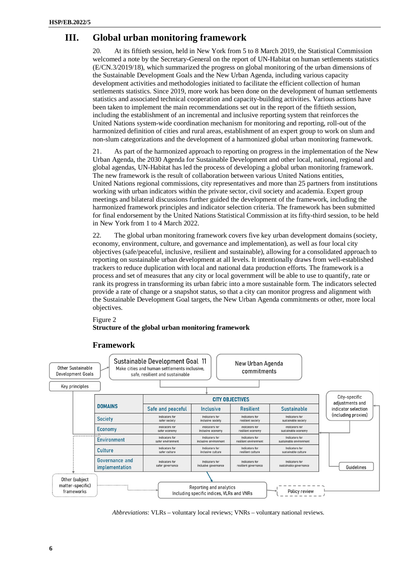# **III. Global urban monitoring framework**

20. At its fiftieth session, held in New York from 5 to 8 March 2019, the Statistical Commission welcomed a note by the Secretary-General on the report of UN-Habitat on human settlements statistics (E/CN.3/2019/18), which summarized the progress on global monitoring of the urban dimensions of the Sustainable Development Goals and the New Urban Agenda, including various capacity development activities and methodologies initiated to facilitate the efficient collection of human settlements statistics. Since 2019, more work has been done on the development of human settlements statistics and associated technical cooperation and capacity-building activities. Various actions have been taken to implement the main recommendations set out in the report of the fiftieth session, including the establishment of an incremental and inclusive reporting system that reinforces the United Nations system-wide coordination mechanism for monitoring and reporting, roll-out of the harmonized definition of cities and rural areas, establishment of an expert group to work on slum and non-slum categorizations and the development of a harmonized global urban monitoring framework.

21. As part of the harmonized approach to reporting on progress in the implementation of the New Urban Agenda, the 2030 Agenda for Sustainable Development and other local, national, regional and global agendas, UN-Habitat has led the process of developing a global urban monitoring framework. The new framework is the result of collaboration between various United Nations entities, United Nations regional commissions, city representatives and more than 25 partners from institutions working with urban indicators within the private sector, civil society and academia. Expert group meetings and bilateral discussions further guided the development of the framework, including the harmonized framework principles and indicator selection criteria. The framework has been submitted for final endorsement by the United Nations Statistical Commission at its fifty-third session, to be held in New York from 1 to 4 March 2022.

22. The global urban monitoring framework covers five key urban development domains (society, economy, environment, culture, and governance and implementation), as well as four local city objectives (safe/peaceful, inclusive, resilient and sustainable), allowing for a consolidated approach to reporting on sustainable urban development at all levels. It intentionally draws from well-established trackers to reduce duplication with local and national data production efforts. The framework is a process and set of measures that any city or local government will be able to use to quantify, rate or rank its progress in transforming its urban fabric into a more sustainable form. The indicators selected provide a rate of change or a snapshot status, so that a city can monitor progress and alignment with the Sustainable Development Goal targets, the New Urban Agenda commitments or other, more local objectives.

#### Figure 2

#### **Structure of the global urban monitoring framework**



#### **Framework**

*Abbreviations*: VLRs – voluntary local reviews; VNRs – voluntary national reviews.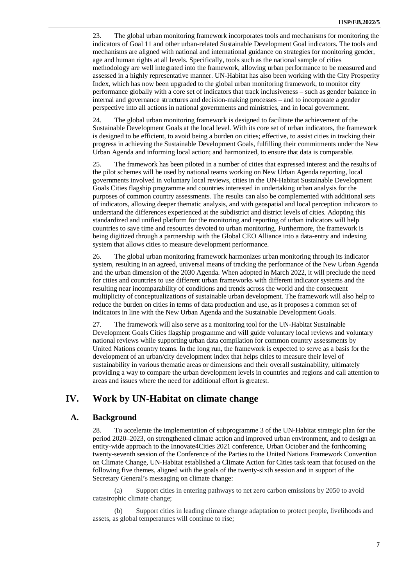23. The global urban monitoring framework incorporates tools and mechanisms for monitoring the indicators of Goal 11 and other urban-related Sustainable Development Goal indicators. The tools and mechanisms are aligned with national and international guidance on strategies for monitoring gender, age and human rights at all levels. Specifically, tools such as the national sample of cities methodology are well integrated into the framework, allowing urban performance to be measured and assessed in a highly representative manner. UN-Habitat has also been working with the City Prosperity Index, which has now been upgraded to the global urban monitoring framework, to monitor city performance globally with a core set of indicators that track inclusiveness – such as gender balance in internal and governance structures and decision-making processes – and to incorporate a gender perspective into all actions in national governments and ministries, and in local government.

24. The global urban monitoring framework is designed to facilitate the achievement of the Sustainable Development Goals at the local level. With its core set of urban indicators, the framework is designed to be efficient, to avoid being a burden on cities; effective, to assist cities in tracking their progress in achieving the Sustainable Development Goals, fulfilling their commitments under the New Urban Agenda and informing local action; and harmonized, to ensure that data is comparable.

25. The framework has been piloted in a number of cities that expressed interest and the results of the pilot schemes will be used by national teams working on New Urban Agenda reporting, local governments involved in voluntary local reviews, cities in the UN-Habitat Sustainable Development Goals Cities flagship programme and countries interested in undertaking urban analysis for the purposes of common country assessments. The results can also be complemented with additional sets of indicators, allowing deeper thematic analysis, and with geospatial and local perception indicators to understand the differences experienced at the subdistrict and district levels of cities. Adopting this standardized and unified platform for the monitoring and reporting of urban indicators will help countries to save time and resources devoted to urban monitoring. Furthermore, the framework is being digitized through a partnership with the Global CEO Alliance into a data-entry and indexing system that allows cities to measure development performance.

26. The global urban monitoring framework harmonizes urban monitoring through its indicator system, resulting in an agreed, universal means of tracking the performance of the New Urban Agenda and the urban dimension of the 2030 Agenda. When adopted in March 2022, it will preclude the need for cities and countries to use different urban frameworks with different indicator systems and the resulting near incomparability of conditions and trends across the world and the consequent multiplicity of conceptualizations of sustainable urban development. The framework will also help to reduce the burden on cities in terms of data production and use, as it proposes a common set of indicators in line with the New Urban Agenda and the Sustainable Development Goals.

27. The framework will also serve as a monitoring tool for the UN-Habitat Sustainable Development Goals Cities flagship programme and will guide voluntary local reviews and voluntary national reviews while supporting urban data compilation for common country assessments by United Nations country teams. In the long run, the framework is expected to serve as a basis for the development of an urban/city development index that helps cities to measure their level of sustainability in various thematic areas or dimensions and their overall sustainability, ultimately providing a way to compare the urban development levels in countries and regions and call attention to areas and issues where the need for additional effort is greatest.

# **IV. Work by UN-Habitat on climate change**

#### **A. Background**

28. To accelerate the implementation of subprogramme 3 of the UN-Habitat strategic plan for the period 2020–2023, on strengthened climate action and improved urban environment, and to design an entity-wide approach to the Innovate4Cities 2021 conference, Urban October and the forthcoming twenty-seventh session of the Conference of the Parties to the United Nations Framework Convention on Climate Change, UN-Habitat established a Climate Action for Cities task team that focused on the following five themes, aligned with the goals of the twenty-sixth session and in support of the Secretary General's messaging on climate change:

(a) Support cities in entering pathways to net zero carbon emissions by 2050 to avoid catastrophic climate change;

(b) Support cities in leading climate change adaptation to protect people, livelihoods and assets, as global temperatures will continue to rise;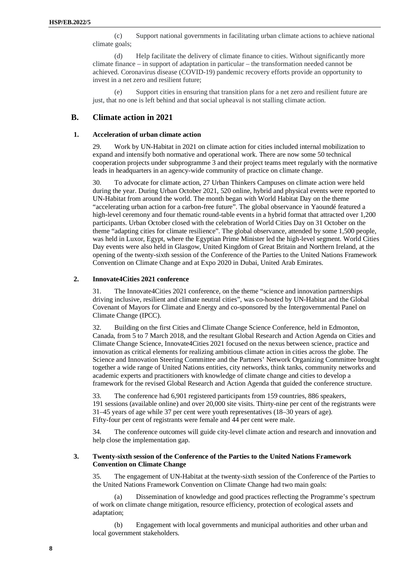(c) Support national governments in facilitating urban climate actions to achieve national climate goals;

(d) Help facilitate the delivery of climate finance to cities. Without significantly more climate finance – in support of adaptation in particular – the transformation needed cannot be achieved. Coronavirus disease (COVID-19) pandemic recovery efforts provide an opportunity to invest in a net zero and resilient future;

Support cities in ensuring that transition plans for a net zero and resilient future are just, that no one is left behind and that social upheaval is not stalling climate action.

### **B. Climate action in 2021**

#### **1. Acceleration of urban climate action**

29. Work by UN-Habitat in 2021 on climate action for cities included internal mobilization to expand and intensify both normative and operational work. There are now some 50 technical cooperation projects under subprogramme 3 and their project teams meet regularly with the normative leads in headquarters in an agency-wide community of practice on climate change.

30. To advocate for climate action, 27 Urban Thinkers Campuses on climate action were held during the year. During Urban October 2021, 520 online, hybrid and physical events were reported to UN-Habitat from around the world. The month began with World Habitat Day on the theme "accelerating urban action for a carbon-free future". The global observance in Yaoundé featured a high-level ceremony and four thematic round-table events in a hybrid format that attracted over 1,200 participants. Urban October closed with the celebration of World Cities Day on 31 October on the theme "adapting cities for climate resilience". The global observance, attended by some 1,500 people, was held in Luxor, Egypt, where the Egyptian Prime Minister led the high-level segment. World Cities Day events were also held in Glasgow, United Kingdom of Great Britain and Northern Ireland, at the opening of the twenty-sixth session of the Conference of the Parties to the United Nations Framework Convention on Climate Change and at Expo 2020 in Dubai, United Arab Emirates.

#### **2. Innovate4Cities 2021 conference**

31. The Innovate4Cities 2021 conference, on the theme "science and innovation partnerships driving inclusive, resilient and climate neutral cities", was co-hosted by UN-Habitat and the Global Covenant of Mayors for Climate and Energy and co-sponsored by the Intergovernmental Panel on Climate Change (IPCC).

32. Building on the first Cities and Climate Change Science Conference, held in Edmonton, Canada, from 5 to 7 March 2018, and the resultant Global Research and Action Agenda on Cities and Climate Change Science, Innovate4Cities 2021 focused on the nexus between science, practice and innovation as critical elements for realizing ambitious climate action in cities across the globe. The Science and Innovation Steering Committee and the Partners' Network Organizing Committee brought together a wide range of United Nations entities, city networks, think tanks, community networks and academic experts and practitioners with knowledge of climate change and cities to develop a framework for the revised Global Research and Action Agenda that guided the conference structure.

33. The conference had 6,901 registered participants from 159 countries, 886 speakers, 191 sessions (available online) and over 20,000 site visits. Thirty-nine per cent of the registrants were 31–45 years of age while 37 per cent were youth representatives (18–30 years of age). Fifty-four per cent of registrants were female and 44 per cent were male.

34. The conference outcomes will guide city-level climate action and research and innovation and help close the implementation gap.

#### **3. Twenty-sixth session of the Conference of the Parties to the United Nations Framework Convention on Climate Change**

35. The engagement of UN-Habitat at the twenty-sixth session of the Conference of the Parties to the United Nations Framework Convention on Climate Change had two main goals:

(a) Dissemination of knowledge and good practices reflecting the Programme's spectrum of work on climate change mitigation, resource efficiency, protection of ecological assets and adaptation;

(b) Engagement with local governments and municipal authorities and other urban and local government stakeholders.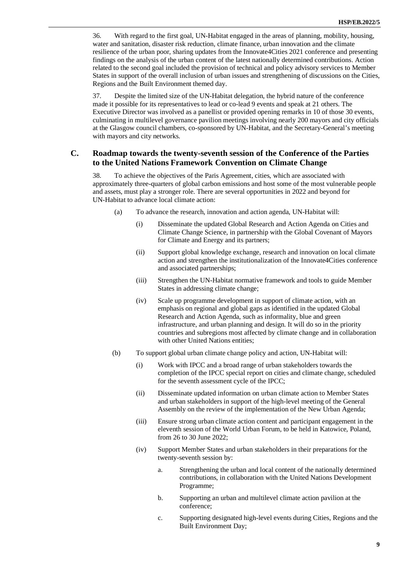36. With regard to the first goal, UN-Habitat engaged in the areas of planning, mobility, housing, water and sanitation, disaster risk reduction, climate finance, urban innovation and the climate resilience of the urban poor, sharing updates from the Innovate4Cities 2021 conference and presenting findings on the analysis of the urban content of the latest nationally determined contributions. Action related to the second goal included the provision of technical and policy advisory services to Member States in support of the overall inclusion of urban issues and strengthening of discussions on the Cities, Regions and the Built Environment themed day.

37. Despite the limited size of the UN-Habitat delegation, the hybrid nature of the conference made it possible for its representatives to lead or co-lead 9 events and speak at 21 others. The Executive Director was involved as a panellist or provided opening remarks in 10 of those 30 events, culminating in multilevel governance pavilion meetings involving nearly 200 mayors and city officials at the Glasgow council chambers, co-sponsored by UN-Habitat, and the Secretary-General's meeting with mayors and city networks.

### **C. Roadmap towards the twenty-seventh session of the Conference of the Parties to the United Nations Framework Convention on Climate Change**

38. To achieve the objectives of the Paris Agreement, cities, which are associated with approximately three-quarters of global carbon emissions and host some of the most vulnerable people and assets, must play a stronger role. There are several opportunities in 2022 and beyond for UN-Habitat to advance local climate action:

- (a) To advance the research, innovation and action agenda, UN-Habitat will:
	- (i) Disseminate the updated Global Research and Action Agenda on Cities and Climate Change Science, in partnership with the Global Covenant of Mayors for Climate and Energy and its partners;
	- (ii) Support global knowledge exchange, research and innovation on local climate action and strengthen the institutionalization of the Innovate4Cities conference and associated partnerships;
	- (iii) Strengthen the UN-Habitat normative framework and tools to guide Member States in addressing climate change;
	- (iv) Scale up programme development in support of climate action, with an emphasis on regional and global gaps as identified in the updated Global Research and Action Agenda, such as informality, blue and green infrastructure, and urban planning and design. It will do so in the priority countries and subregions most affected by climate change and in collaboration with other United Nations entities;
- (b) To support global urban climate change policy and action, UN-Habitat will:
	- (i) Work with IPCC and a broad range of urban stakeholders towards the completion of the IPCC special report on cities and climate change, scheduled for the seventh assessment cycle of the IPCC;
	- (ii) Disseminate updated information on urban climate action to Member States and urban stakeholders in support of the high-level meeting of the General Assembly on the review of the implementation of the New Urban Agenda;
	- (iii) Ensure strong urban climate action content and participant engagement in the eleventh session of the World Urban Forum, to be held in Katowice, Poland, from 26 to 30 June 2022;
	- (iv) Support Member States and urban stakeholders in their preparations for the twenty-seventh session by:
		- a. Strengthening the urban and local content of the nationally determined contributions, in collaboration with the United Nations Development Programme;
		- b. Supporting an urban and multilevel climate action pavilion at the conference;
		- c. Supporting designated high-level events during Cities, Regions and the Built Environment Day;